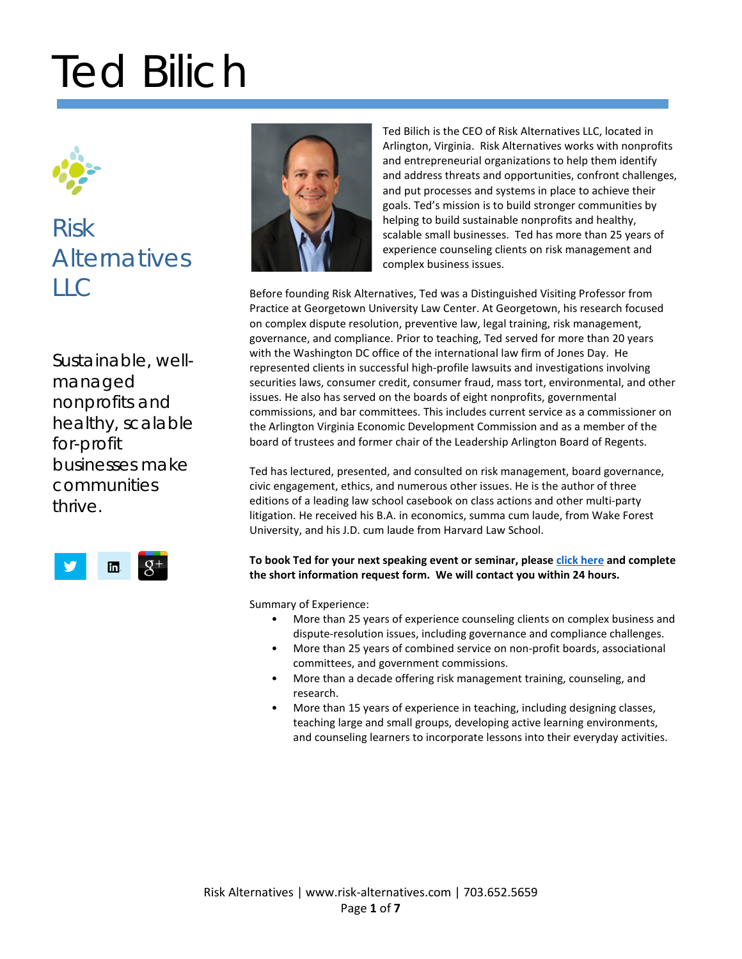

## Risk **Alternatives**  $HC$

Sustainable, wellmanaged nonprofits and healthy, scalable for-profit businesses make communities thrive.





Ted Bilich is the CEO of Risk Alternatives LLC, located in Arlington, Virginia. Risk Alternatives works with nonprofits and entrepreneurial organizations to help them identify and address threats and opportunities, confront challenges, and put processes and systems in place to achieve their goals. Ted's mission is to build stronger communities by helping to build sustainable nonprofits and healthy, scalable small businesses. Ted has more than 25 years of experience counseling clients on risk management and complex business issues.

Before founding Risk Alternatives, Ted was a Distinguished Visiting Professor from Practice at Georgetown University Law Center. At Georgetown, his research focused on complex dispute resolution, preventive law, legal training, risk management, governance, and compliance. Prior to teaching, Ted served for more than 20 years with the Washington DC office of the international law firm of Jones Day. He represented clients in successful high-profile lawsuits and investigations involving securities laws, consumer credit, consumer fraud, mass tort, environmental, and other issues. He also has served on the boards of eight nonprofits, governmental commissions, and bar committees. This includes current service as a commissioner on the Arlington Virginia Economic Development Commission and as a member of the board of trustees and former chair of the Leadership Arlington Board of Regents.

Ted has lectured, presented, and consulted on risk management, board governance, civic engagement, ethics, and numerous other issues. He is the author of three editions of a leading law school casebook on class actions and other multi-party litigation. He received his B.A. in economics, summa cum laude, from Wake Forest University, and his J.D. cum laude from Harvard Law School.

### **To book Ted for your next speaking event or seminar, please [click here](http://risk-alternatives.com/contact/) and complete the short information request form. We will contact you within 24 hours.**

Summary of Experience:

- More than 25 years of experience counseling clients on complex business and dispute-resolution issues, including governance and compliance challenges.
- More than 25 years of combined service on non-profit boards, associational committees, and government commissions.
- More than a decade offering risk management training, counseling, and research.
- More than 15 years of experience in teaching, including designing classes, teaching large and small groups, developing active learning environments, and counseling learners to incorporate lessons into their everyday activities.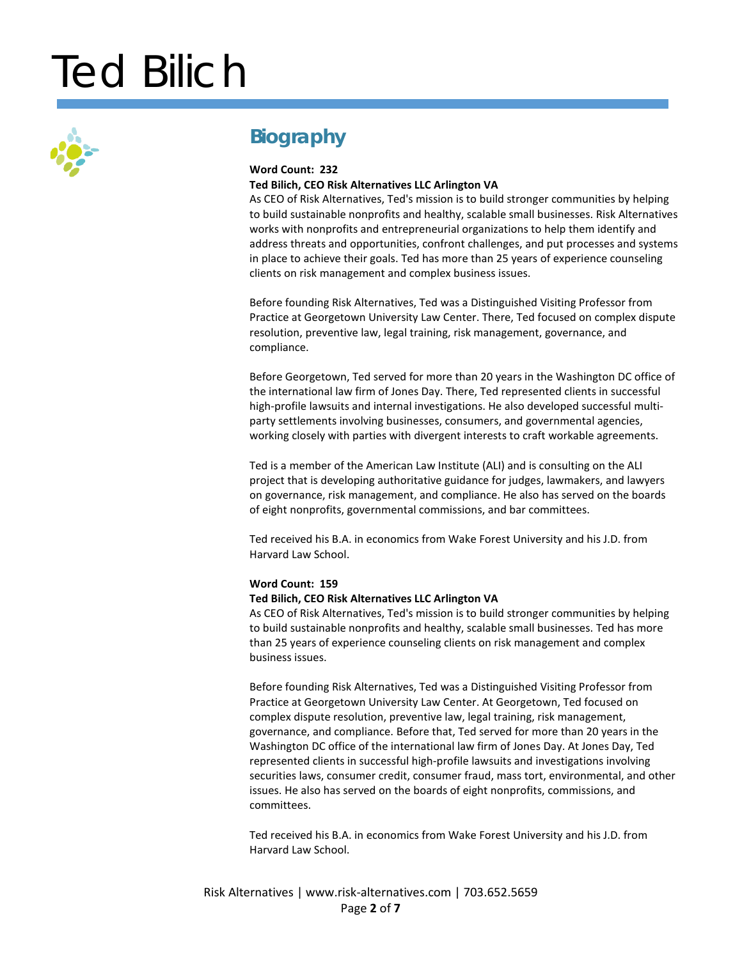

### **Biography**

### **Word Count: 232**

### **Ted Bilich, CEO Risk Alternatives LLC Arlington VA**

As CEO of Risk Alternatives, Ted's mission is to build stronger communities by helping to build sustainable nonprofits and healthy, scalable small businesses. Risk Alternatives works with nonprofits and entrepreneurial organizations to help them identify and address threats and opportunities, confront challenges, and put processes and systems in place to achieve their goals. Ted has more than 25 years of experience counseling clients on risk management and complex business issues.

Before founding Risk Alternatives, Ted was a Distinguished Visiting Professor from Practice at Georgetown University Law Center. There, Ted focused on complex dispute resolution, preventive law, legal training, risk management, governance, and compliance.

Before Georgetown, Ted served for more than 20 years in the Washington DC office of the international law firm of Jones Day. There, Ted represented clients in successful high-profile lawsuits and internal investigations. He also developed successful multiparty settlements involving businesses, consumers, and governmental agencies, working closely with parties with divergent interests to craft workable agreements.

Ted is a member of the American Law Institute (ALI) and is consulting on the ALI project that is developing authoritative guidance for judges, lawmakers, and lawyers on governance, risk management, and compliance. He also has served on the boards of eight nonprofits, governmental commissions, and bar committees.

Ted received his B.A. in economics from Wake Forest University and his J.D. from Harvard Law School.

#### **Word Count: 159**

#### **Ted Bilich, CEO Risk Alternatives LLC Arlington VA**

As CEO of Risk Alternatives, Ted's mission is to build stronger communities by helping to build sustainable nonprofits and healthy, scalable small businesses. Ted has more than 25 years of experience counseling clients on risk management and complex business issues.

Before founding Risk Alternatives, Ted was a Distinguished Visiting Professor from Practice at Georgetown University Law Center. At Georgetown, Ted focused on complex dispute resolution, preventive law, legal training, risk management, governance, and compliance. Before that, Ted served for more than 20 years in the Washington DC office of the international law firm of Jones Day. At Jones Day, Ted represented clients in successful high-profile lawsuits and investigations involving securities laws, consumer credit, consumer fraud, mass tort, environmental, and other issues. He also has served on the boards of eight nonprofits, commissions, and committees.

Ted received his B.A. in economics from Wake Forest University and his J.D. from Harvard Law School.

Risk Alternatives | www.risk-alternatives.com | 703.652.5659 Page **2** of **7**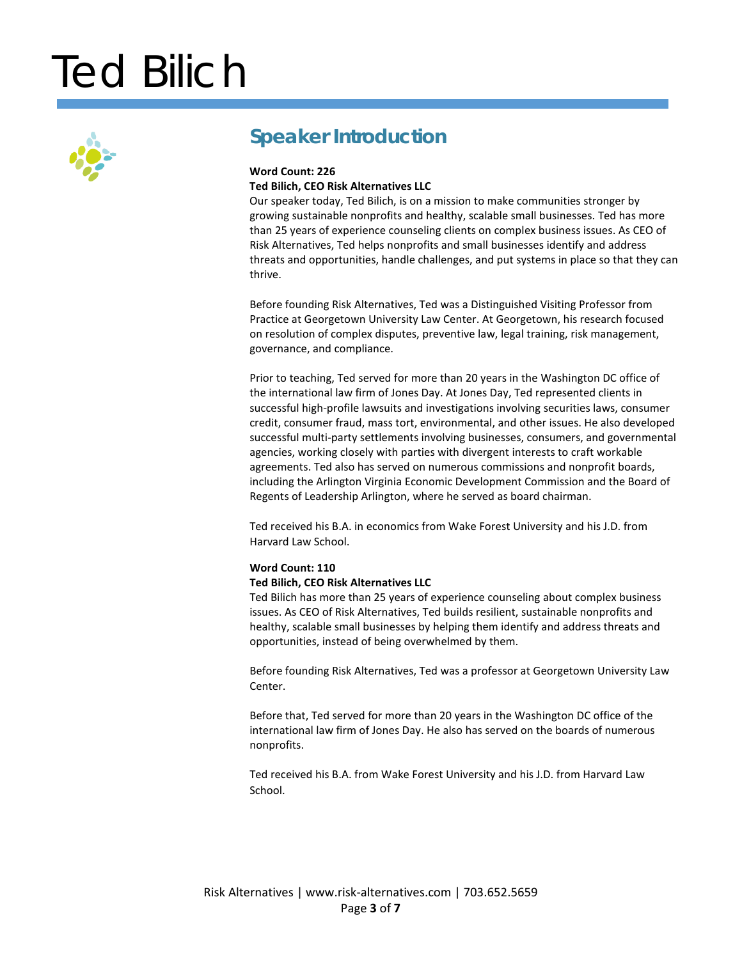

### **Speaker Introduction**

### **Word Count: 226 Ted Bilich, CEO Risk Alternatives LLC**

Our speaker today, Ted Bilich, is on a mission to make communities stronger by growing sustainable nonprofits and healthy, scalable small businesses. Ted has more than 25 years of experience counseling clients on complex business issues. As CEO of Risk Alternatives, Ted helps nonprofits and small businesses identify and address threats and opportunities, handle challenges, and put systems in place so that they can thrive.

Before founding Risk Alternatives, Ted was a Distinguished Visiting Professor from Practice at Georgetown University Law Center. At Georgetown, his research focused on resolution of complex disputes, preventive law, legal training, risk management, governance, and compliance.

Prior to teaching, Ted served for more than 20 years in the Washington DC office of the international law firm of Jones Day. At Jones Day, Ted represented clients in successful high-profile lawsuits and investigations involving securities laws, consumer credit, consumer fraud, mass tort, environmental, and other issues. He also developed successful multi-party settlements involving businesses, consumers, and governmental agencies, working closely with parties with divergent interests to craft workable agreements. Ted also has served on numerous commissions and nonprofit boards, including the Arlington Virginia Economic Development Commission and the Board of Regents of Leadership Arlington, where he served as board chairman.

Ted received his B.A. in economics from Wake Forest University and his J.D. from Harvard Law School.

### **Word Count: 110**

#### **Ted Bilich, CEO Risk Alternatives LLC**

Ted Bilich has more than 25 years of experience counseling about complex business issues. As CEO of Risk Alternatives, Ted builds resilient, sustainable nonprofits and healthy, scalable small businesses by helping them identify and address threats and opportunities, instead of being overwhelmed by them.

Before founding Risk Alternatives, Ted was a professor at Georgetown University Law Center.

Before that, Ted served for more than 20 years in the Washington DC office of the international law firm of Jones Day. He also has served on the boards of numerous nonprofits.

Ted received his B.A. from Wake Forest University and his J.D. from Harvard Law School.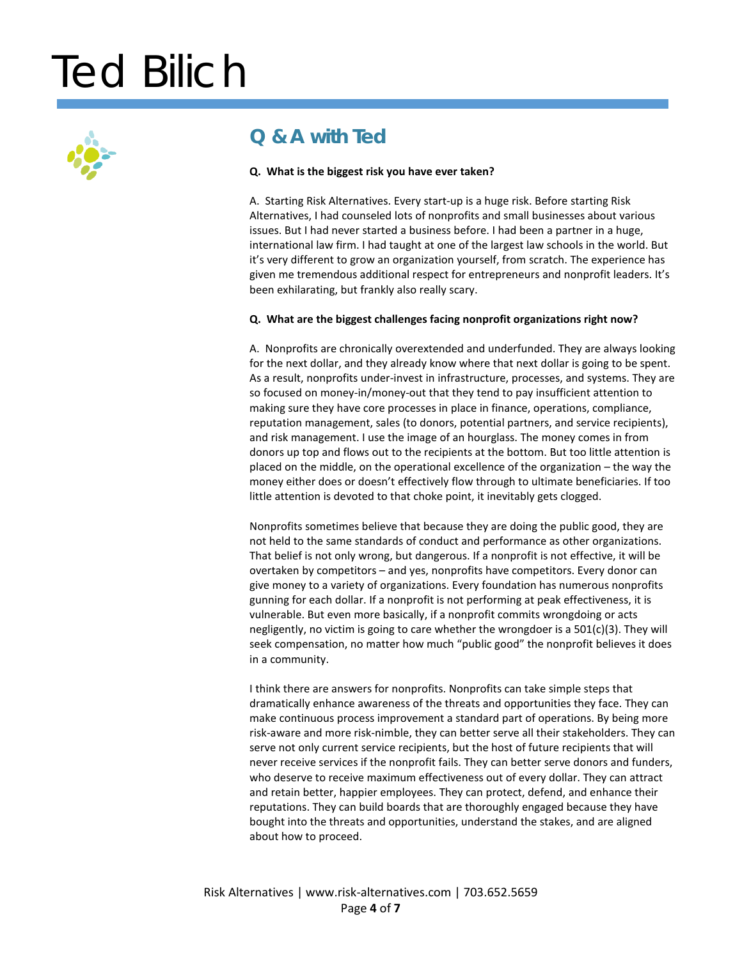

### **Q & A with Ted**

### **Q. What is the biggest risk you have ever taken?**

A. Starting Risk Alternatives. Every start-up is a huge risk. Before starting Risk Alternatives, I had counseled lots of nonprofits and small businesses about various issues. But I had never started a business before. I had been a partner in a huge, international law firm. I had taught at one of the largest law schools in the world. But it's very different to grow an organization yourself, from scratch. The experience has given me tremendous additional respect for entrepreneurs and nonprofit leaders. It's been exhilarating, but frankly also really scary.

### **Q. What are the biggest challenges facing nonprofit organizations right now?**

A. Nonprofits are chronically overextended and underfunded. They are always looking for the next dollar, and they already know where that next dollar is going to be spent. As a result, nonprofits under-invest in infrastructure, processes, and systems. They are so focused on money-in/money-out that they tend to pay insufficient attention to making sure they have core processes in place in finance, operations, compliance, reputation management, sales (to donors, potential partners, and service recipients), and risk management. I use the image of an hourglass. The money comes in from donors up top and flows out to the recipients at the bottom. But too little attention is placed on the middle, on the operational excellence of the organization – the way the money either does or doesn't effectively flow through to ultimate beneficiaries. If too little attention is devoted to that choke point, it inevitably gets clogged.

Nonprofits sometimes believe that because they are doing the public good, they are not held to the same standards of conduct and performance as other organizations. That belief is not only wrong, but dangerous. If a nonprofit is not effective, it will be overtaken by competitors – and yes, nonprofits have competitors. Every donor can give money to a variety of organizations. Every foundation has numerous nonprofits gunning for each dollar. If a nonprofit is not performing at peak effectiveness, it is vulnerable. But even more basically, if a nonprofit commits wrongdoing or acts negligently, no victim is going to care whether the wrongdoer is a 501(c)(3). They will seek compensation, no matter how much "public good" the nonprofit believes it does in a community.

I think there are answers for nonprofits. Nonprofits can take simple steps that dramatically enhance awareness of the threats and opportunities they face. They can make continuous process improvement a standard part of operations. By being more risk-aware and more risk-nimble, they can better serve all their stakeholders. They can serve not only current service recipients, but the host of future recipients that will never receive services if the nonprofit fails. They can better serve donors and funders, who deserve to receive maximum effectiveness out of every dollar. They can attract and retain better, happier employees. They can protect, defend, and enhance their reputations. They can build boards that are thoroughly engaged because they have bought into the threats and opportunities, understand the stakes, and are aligned about how to proceed.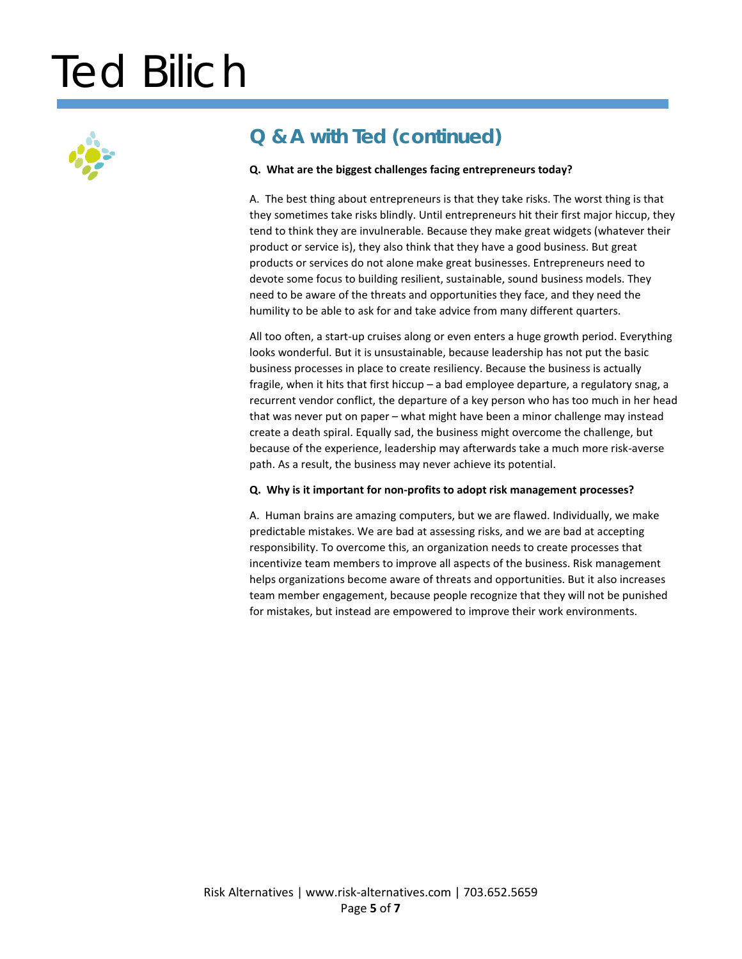

### **Q & A with Ted (continued)**

### **Q. What are the biggest challenges facing entrepreneurs today?**

A. The best thing about entrepreneurs is that they take risks. The worst thing is that they sometimes take risks blindly. Until entrepreneurs hit their first major hiccup, they tend to think they are invulnerable. Because they make great widgets (whatever their product or service is), they also think that they have a good business. But great products or services do not alone make great businesses. Entrepreneurs need to devote some focus to building resilient, sustainable, sound business models. They need to be aware of the threats and opportunities they face, and they need the humility to be able to ask for and take advice from many different quarters.

All too often, a start-up cruises along or even enters a huge growth period. Everything looks wonderful. But it is unsustainable, because leadership has not put the basic business processes in place to create resiliency. Because the business is actually fragile, when it hits that first hiccup – a bad employee departure, a regulatory snag, a recurrent vendor conflict, the departure of a key person who has too much in her head that was never put on paper – what might have been a minor challenge may instead create a death spiral. Equally sad, the business might overcome the challenge, but because of the experience, leadership may afterwards take a much more risk-averse path. As a result, the business may never achieve its potential.

#### **Q. Why is it important for non-profits to adopt risk management processes?**

A. Human brains are amazing computers, but we are flawed. Individually, we make predictable mistakes. We are bad at assessing risks, and we are bad at accepting responsibility. To overcome this, an organization needs to create processes that incentivize team members to improve all aspects of the business. Risk management helps organizations become aware of threats and opportunities. But it also increases team member engagement, because people recognize that they will not be punished for mistakes, but instead are empowered to improve their work environments.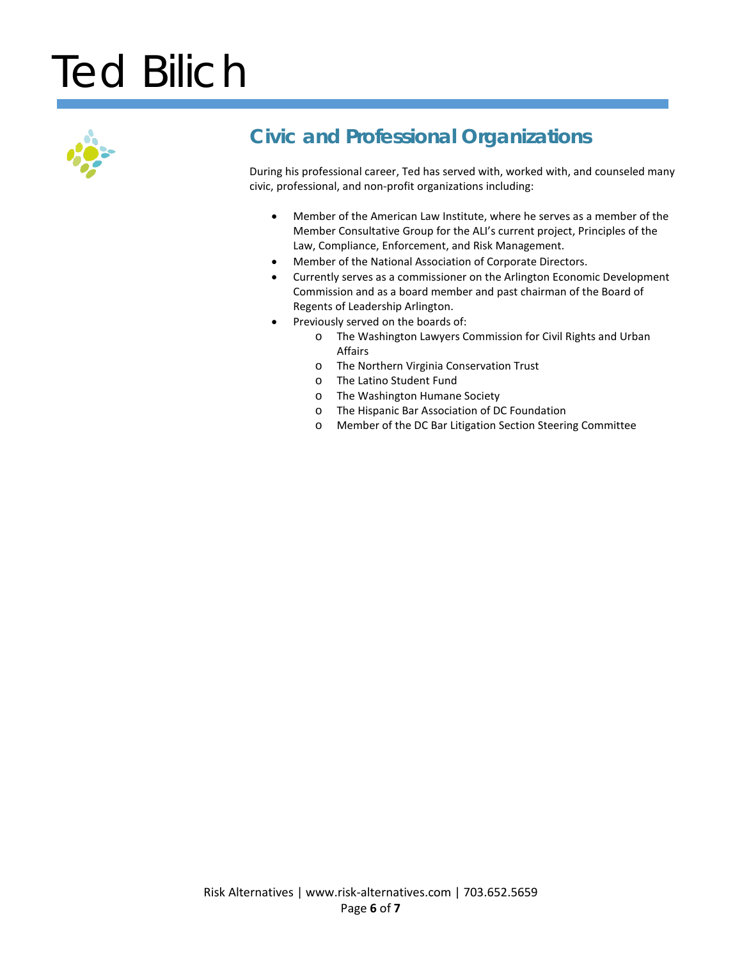

## **Civic and Professional Organizations**

During his professional career, Ted has served with, worked with, and counseled many civic, professional, and non-profit organizations including:

- Member of the American Law Institute, where he serves as a member of the Member Consultative Group for the ALI's current project, Principles of the Law, Compliance, Enforcement, and Risk Management.
- Member of the National Association of Corporate Directors.
- Currently serves as a commissioner on the Arlington Economic Development Commission and as a board member and past chairman of the Board of Regents of Leadership Arlington.
- Previously served on the boards of:
	- o The Washington Lawyers Commission for Civil Rights and Urban Affairs
	- o The Northern Virginia Conservation Trust
	- o The Latino Student Fund
	- o The Washington Humane Society
	- o The Hispanic Bar Association of DC Foundation
	- o Member of the DC Bar Litigation Section Steering Committee